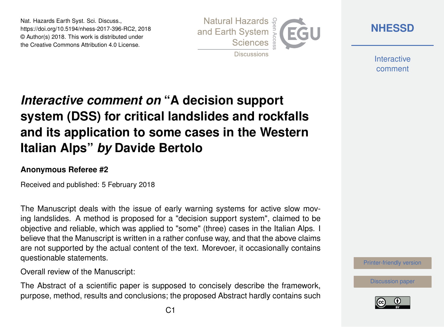Nat. Hazards Earth Syst. Sci. Discuss., https://doi.org/10.5194/nhess-2017-396-RC2, 2018 © Author(s) 2018. This work is distributed under the Creative Commons Attribution 4.0 License.



**[NHESSD](https://www.nat-hazards-earth-syst-sci-discuss.net/)**

**Interactive** comment

# *Interactive comment on* **"A decision support system (DSS) for critical landslides and rockfalls and its application to some cases in the Western Italian Alps"** *by* **Davide Bertolo**

#### **Anonymous Referee #2**

Received and published: 5 February 2018

The Manuscript deals with the issue of early warning systems for active slow moving landslides. A method is proposed for a "decision support system", claimed to be objective and reliable, which was applied to "some" (three) cases in the Italian Alps. I believe that the Manuscript is written in a rather confuse way, and that the above claims are not supported by the actual content of the text. Morevoer, it occasionally contains questionable statements.

Overall review of the Manuscript:

The Abstract of a scientific paper is supposed to concisely describe the framework, purpose, method, results and conclusions; the proposed Abstract hardly contains such [Printer-friendly version](https://www.nat-hazards-earth-syst-sci-discuss.net/nhess-2017-396/nhess-2017-396-RC2-print.pdf)

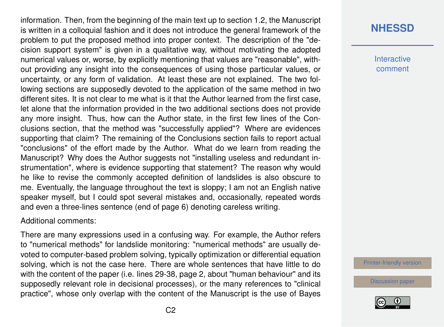information. Then, from the beginning of the main text up to section 1.2, the Manuscript is written in a colloquial fashion and it does not introduce the general framework of the problem to put the proposed method into proper context. The description of the "decision support system" is given in a qualitative way, without motivating the adopted numerical values or, worse, by explicitly mentioning that values are "reasonable", without providing any insight into the consequences of using those particular values, or uncertainty, or any form of validation. At least these are not explained. The two following sections are supposedly devoted to the application of the same method in two different sites. It is not clear to me what is it that the Author learned from the first case, let alone that the information provided in the two additional sections does not provide any more insight. Thus, how can the Author state, in the first few lines of the Conclusions section, that the method was "successfully applied"? Where are evidences supporting that claim? The remaining of the Conclusions section fails to report actual "conclusions" of the effort made by the Author. What do we learn from reading the Manuscript? Why does the Author suggests not "installing useless and redundant instrumentation", where is evidence supporting that statement? The reason why would he like to revise the commonly accepted definition of landslides is also obscure to me. Eventually, the language throughout the text is sloppy; I am not an English native speaker myself, but I could spot several mistakes and, occasionally, repeated words and even a three-lines sentence (end of page 6) denoting careless writing.

#### Additional comments:

There are many expressions used in a confusing way. For example, the Author refers to "numerical methods" for landslide monitoring: "numerical methods" are usually devoted to computer-based problem solving, typically optimization or differential equation solving, which is not the case here. There are whole sentences that have little to do with the content of the paper (i.e. lines 29-38, page 2, about "human behaviour" and its supposedly relevant role in decisional processes), or the many references to "clinical practice", whose only overlap with the content of the Manuscript is the use of Bayes

## **[NHESSD](https://www.nat-hazards-earth-syst-sci-discuss.net/)**

**Interactive** comment

[Printer-friendly version](https://www.nat-hazards-earth-syst-sci-discuss.net/nhess-2017-396/nhess-2017-396-RC2-print.pdf)

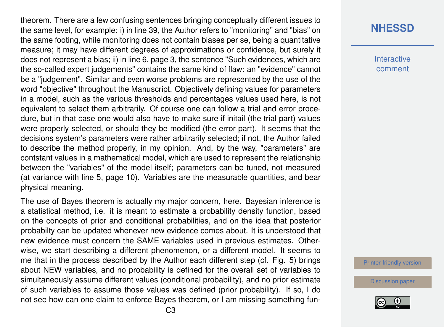theorem. There are a few confusing sentences bringing conceptually different issues to the same level, for example: i) in line 39, the Author refers to "monitoring" and "bias" on the same footing, while monitoring does not contain biases per se, being a quantitative measure; it may have different degrees of approximations or confidence, but surely it does not represent a bias; ii) in line 6, page 3, the sentence "Such evidences, which are the so-called expert judgements" contains the same kind of flaw: an "evidence" cannot be a "judgement". Similar and even worse problems are represented by the use of the word "objective" throughout the Manuscript. Objectively defining values for parameters in a model, such as the various thresholds and percentages values used here, is not equivalent to select them arbitrarily. Of course one can follow a trial and error procedure, but in that case one would also have to make sure if initail (the trial part) values were properly selected, or should they be modified (the error part). It seems that the decisions system's parameters were rather arbitrarily selected; if not, the Author failed to describe the method properly, in my opinion. And, by the way, "parameters" are contstant values in a mathematical model, which are used to represent the relationship between the "variables" of the model itself; parameters can be tuned, not measured (at variance with line 5, page 10). Variables are the measurable quantities, and bear physical meaning.

The use of Bayes theorem is actually my major concern, here. Bayesian inference is a statistical method, i.e. it is meant to estimate a probability density function, based on the concepts of prior and conditional probabilities, and on the idea that posterior probabilty can be updated whenever new evidence comes about. It is understood that new evidence must concern the SAME variables used in previous estimates. Otherwise, we start describing a different phenomenon, or a different model. It seems to me that in the process described by the Author each different step (cf. Fig. 5) brings about NEW variables, and no probability is defined for the overall set of variables to simultaneously assume different values (conditional probability), and no prior estimate of such variables to assume those values was defined (prior probability). If so, I do not see how can one claim to enforce Bayes theorem, or I am missing something fun-

#### **[NHESSD](https://www.nat-hazards-earth-syst-sci-discuss.net/)**

**Interactive** comment

[Printer-friendly version](https://www.nat-hazards-earth-syst-sci-discuss.net/nhess-2017-396/nhess-2017-396-RC2-print.pdf)